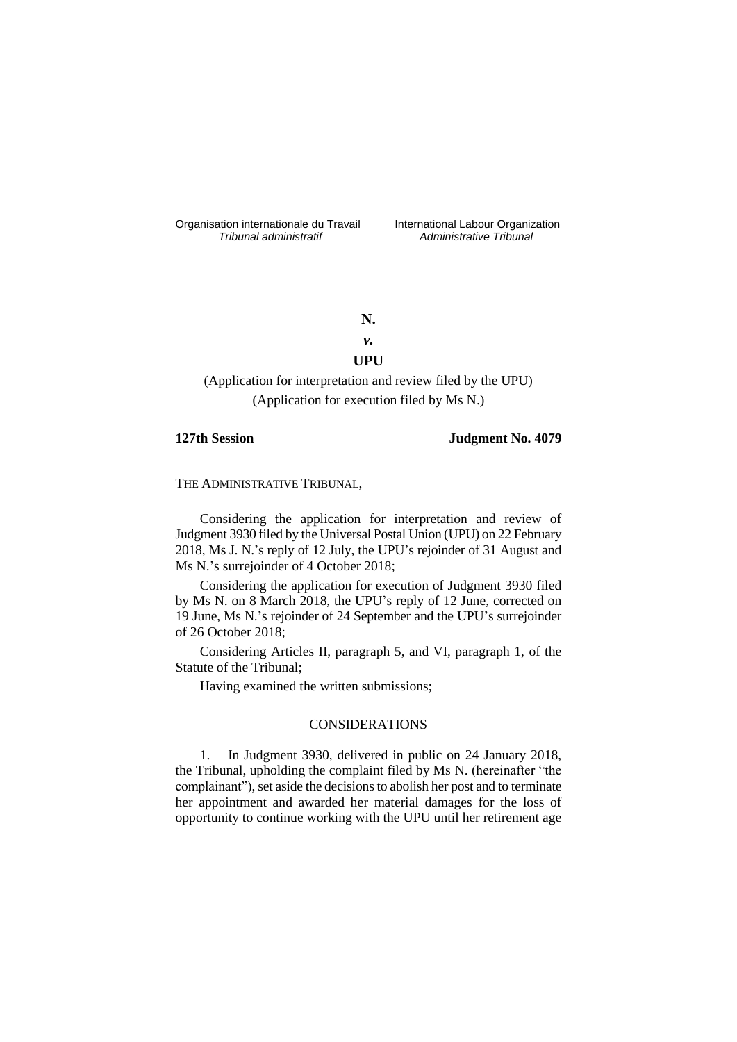Organisation internationale du Travail liternational Labour Organization<br> *Tribunal administratif Administrative Tribunal* 

*Tribunal administratif Administrative Tribunal*

**N.**

# *v.* **UPU**

(Application for interpretation and review filed by the UPU) (Application for execution filed by Ms N.)

### **127th Session Judgment No. 4079**

THE ADMINISTRATIVE TRIBUNAL,

Considering the application for interpretation and review of Judgment 3930 filed by the Universal Postal Union (UPU) on 22 February 2018, Ms J. N.'s reply of 12 July, the UPU's rejoinder of 31 August and Ms N.'s surrejoinder of 4 October 2018;

Considering the application for execution of Judgment 3930 filed by Ms N. on 8 March 2018, the UPU's reply of 12 June, corrected on 19 June, Ms N.'s rejoinder of 24 September and the UPU's surrejoinder of 26 October 2018;

Considering Articles II, paragraph 5, and VI, paragraph 1, of the Statute of the Tribunal;

Having examined the written submissions;

# CONSIDERATIONS

1. In Judgment 3930, delivered in public on 24 January 2018, the Tribunal, upholding the complaint filed by Ms N. (hereinafter "the complainant"), set aside the decisions to abolish her post and to terminate her appointment and awarded her material damages for the loss of opportunity to continue working with the UPU until her retirement age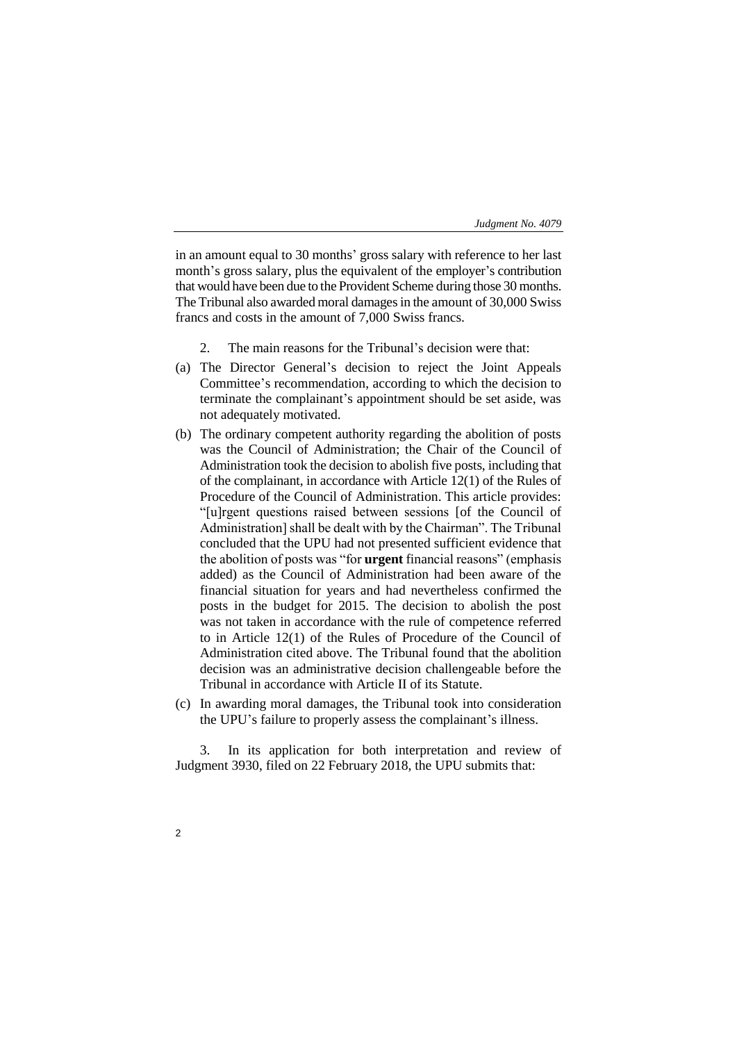in an amount equal to 30 months' gross salary with reference to her last month's gross salary, plus the equivalent of the employer's contribution that would have been due to the Provident Scheme during those 30 months. The Tribunal also awarded moral damages in the amount of 30,000 Swiss francs and costs in the amount of 7,000 Swiss francs.

- 2. The main reasons for the Tribunal's decision were that:
- (a) The Director General's decision to reject the Joint Appeals Committee's recommendation, according to which the decision to terminate the complainant's appointment should be set aside, was not adequately motivated.
- (b) The ordinary competent authority regarding the abolition of posts was the Council of Administration; the Chair of the Council of Administration took the decision to abolish five posts, including that of the complainant, in accordance with Article 12(1) of the Rules of Procedure of the Council of Administration. This article provides: "[u]rgent questions raised between sessions [of the Council of Administration] shall be dealt with by the Chairman". The Tribunal concluded that the UPU had not presented sufficient evidence that the abolition of posts was "for **urgent** financial reasons" (emphasis added) as the Council of Administration had been aware of the financial situation for years and had nevertheless confirmed the posts in the budget for 2015. The decision to abolish the post was not taken in accordance with the rule of competence referred to in Article 12(1) of the Rules of Procedure of the Council of Administration cited above. The Tribunal found that the abolition decision was an administrative decision challengeable before the Tribunal in accordance with Article II of its Statute.
- (c) In awarding moral damages, the Tribunal took into consideration the UPU's failure to properly assess the complainant's illness.

3. In its application for both interpretation and review of Judgment 3930, filed on 22 February 2018, the UPU submits that:

 $\mathfrak{p}$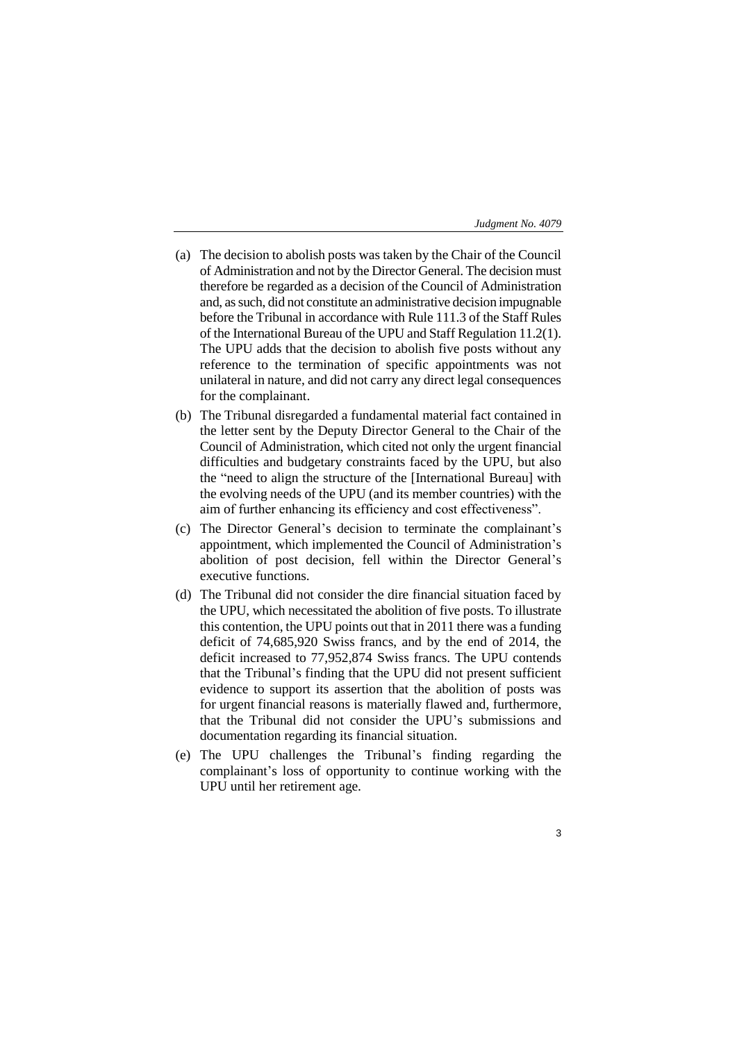- (a) The decision to abolish posts was taken by the Chair of the Council of Administration and not by the Director General. The decision must therefore be regarded as a decision of the Council of Administration and, as such, did not constitute an administrative decision impugnable before the Tribunal in accordance with Rule 111.3 of the Staff Rules of the International Bureau of the UPU and Staff Regulation 11.2(1). The UPU adds that the decision to abolish five posts without any reference to the termination of specific appointments was not unilateral in nature, and did not carry any direct legal consequences for the complainant.
- (b) The Tribunal disregarded a fundamental material fact contained in the letter sent by the Deputy Director General to the Chair of the Council of Administration, which cited not only the urgent financial difficulties and budgetary constraints faced by the UPU, but also the "need to align the structure of the [International Bureau] with the evolving needs of the UPU (and its member countries) with the aim of further enhancing its efficiency and cost effectiveness".
- (c) The Director General's decision to terminate the complainant's appointment, which implemented the Council of Administration's abolition of post decision, fell within the Director General's executive functions.
- (d) The Tribunal did not consider the dire financial situation faced by the UPU, which necessitated the abolition of five posts. To illustrate this contention, the UPU points out that in 2011 there was a funding deficit of 74,685,920 Swiss francs, and by the end of 2014, the deficit increased to 77,952,874 Swiss francs. The UPU contends that the Tribunal's finding that the UPU did not present sufficient evidence to support its assertion that the abolition of posts was for urgent financial reasons is materially flawed and, furthermore, that the Tribunal did not consider the UPU's submissions and documentation regarding its financial situation.
- (e) The UPU challenges the Tribunal's finding regarding the complainant's loss of opportunity to continue working with the UPU until her retirement age.
	- 3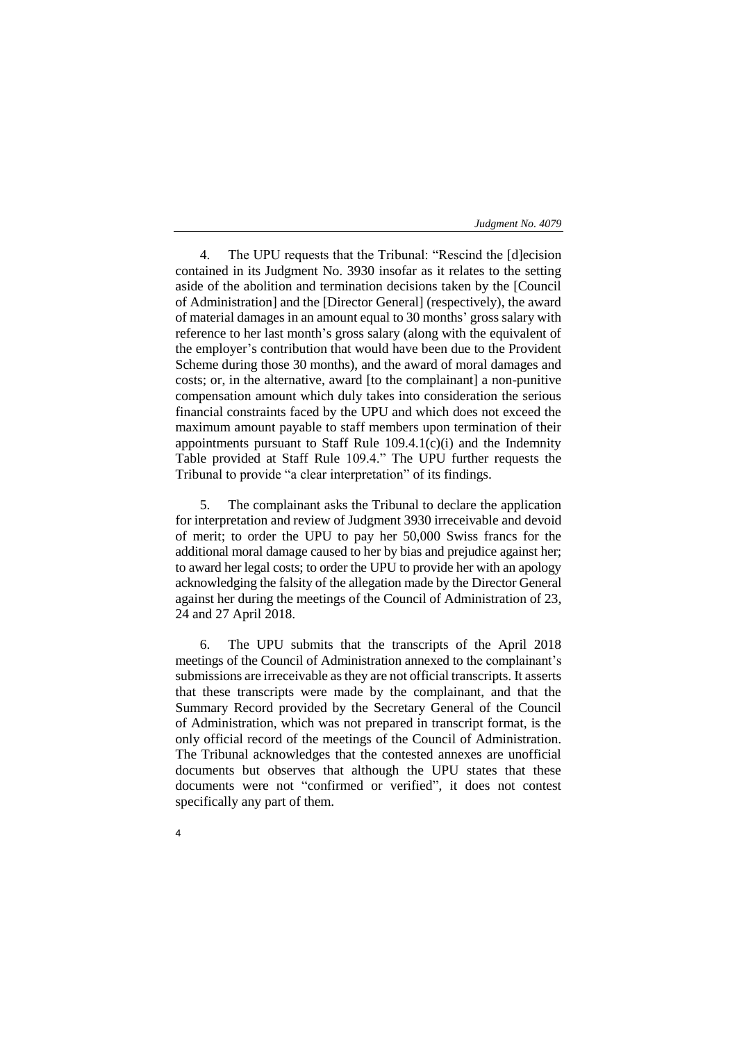4. The UPU requests that the Tribunal: "Rescind the [d]ecision contained in its Judgment No. 3930 insofar as it relates to the setting aside of the abolition and termination decisions taken by the [Council of Administration] and the [Director General] (respectively), the award of material damages in an amount equal to 30 months' gross salary with reference to her last month's gross salary (along with the equivalent of the employer's contribution that would have been due to the Provident Scheme during those 30 months), and the award of moral damages and costs; or, in the alternative, award [to the complainant] a non-punitive compensation amount which duly takes into consideration the serious financial constraints faced by the UPU and which does not exceed the maximum amount payable to staff members upon termination of their appointments pursuant to Staff Rule 109.4.1(c)(i) and the Indemnity Table provided at Staff Rule 109.4." The UPU further requests the Tribunal to provide "a clear interpretation" of its findings.

5. The complainant asks the Tribunal to declare the application for interpretation and review of Judgment 3930 irreceivable and devoid of merit; to order the UPU to pay her 50,000 Swiss francs for the additional moral damage caused to her by bias and prejudice against her; to award her legal costs; to order the UPU to provide her with an apology acknowledging the falsity of the allegation made by the Director General against her during the meetings of the Council of Administration of 23, 24 and 27 April 2018.

6. The UPU submits that the transcripts of the April 2018 meetings of the Council of Administration annexed to the complainant's submissions are irreceivable as they are not official transcripts. It asserts that these transcripts were made by the complainant, and that the Summary Record provided by the Secretary General of the Council of Administration, which was not prepared in transcript format, is the only official record of the meetings of the Council of Administration. The Tribunal acknowledges that the contested annexes are unofficial documents but observes that although the UPU states that these documents were not "confirmed or verified", it does not contest specifically any part of them.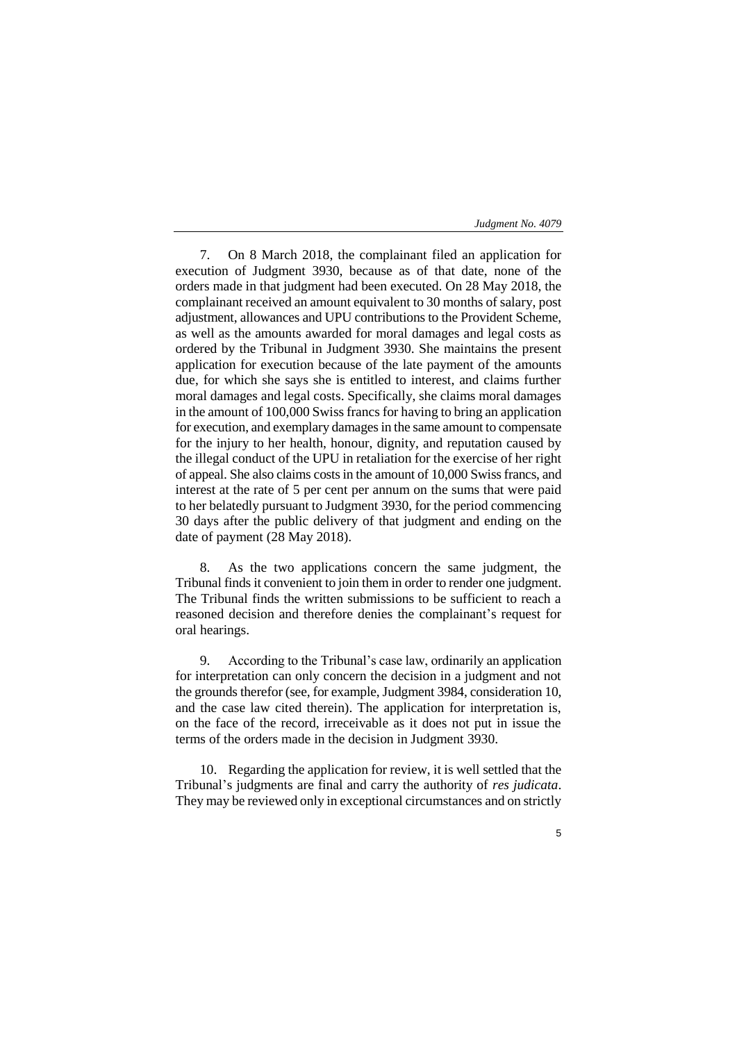7. On 8 March 2018, the complainant filed an application for execution of Judgment 3930, because as of that date, none of the orders made in that judgment had been executed. On 28 May 2018, the complainant received an amount equivalent to 30 months of salary, post adjustment, allowances and UPU contributions to the Provident Scheme, as well as the amounts awarded for moral damages and legal costs as ordered by the Tribunal in Judgment 3930. She maintains the present application for execution because of the late payment of the amounts due, for which she says she is entitled to interest, and claims further moral damages and legal costs. Specifically, she claims moral damages in the amount of 100,000 Swiss francs for having to bring an application for execution, and exemplary damages in the same amount to compensate for the injury to her health, honour, dignity, and reputation caused by the illegal conduct of the UPU in retaliation for the exercise of her right of appeal. She also claims costs in the amount of 10,000 Swiss francs, and interest at the rate of 5 per cent per annum on the sums that were paid to her belatedly pursuant to Judgment 3930, for the period commencing 30 days after the public delivery of that judgment and ending on the date of payment (28 May 2018).

8. As the two applications concern the same judgment, the Tribunal finds it convenient to join them in order to render one judgment. The Tribunal finds the written submissions to be sufficient to reach a reasoned decision and therefore denies the complainant's request for oral hearings.

9. According to the Tribunal's case law, ordinarily an application for interpretation can only concern the decision in a judgment and not the grounds therefor (see, for example, Judgment 3984, consideration 10, and the case law cited therein). The application for interpretation is, on the face of the record, irreceivable as it does not put in issue the terms of the orders made in the decision in Judgment 3930.

10. Regarding the application for review, it is well settled that the Tribunal's judgments are final and carry the authority of *res judicata*. They may be reviewed only in exceptional circumstances and on strictly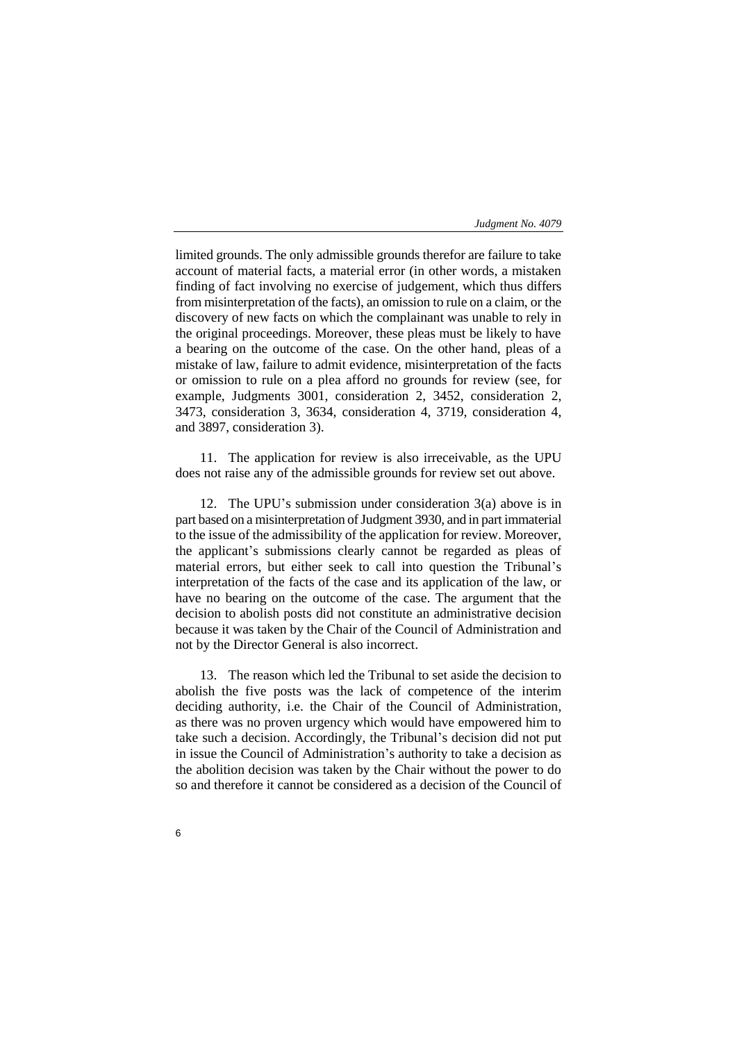limited grounds. The only admissible grounds therefor are failure to take account of material facts, a material error (in other words, a mistaken finding of fact involving no exercise of judgement, which thus differs from misinterpretation of the facts), an omission to rule on a claim, or the discovery of new facts on which the complainant was unable to rely in the original proceedings. Moreover, these pleas must be likely to have a bearing on the outcome of the case. On the other hand, pleas of a mistake of law, failure to admit evidence, misinterpretation of the facts or omission to rule on a plea afford no grounds for review (see, for example, Judgments 3001, consideration 2, 3452, consideration 2, 3473, consideration 3, 3634, consideration 4, 3719, consideration 4, and 3897, consideration 3).

11. The application for review is also irreceivable, as the UPU does not raise any of the admissible grounds for review set out above.

12. The UPU's submission under consideration 3(a) above is in part based on a misinterpretation of Judgment 3930, and in part immaterial to the issue of the admissibility of the application for review. Moreover, the applicant's submissions clearly cannot be regarded as pleas of material errors, but either seek to call into question the Tribunal's interpretation of the facts of the case and its application of the law, or have no bearing on the outcome of the case. The argument that the decision to abolish posts did not constitute an administrative decision because it was taken by the Chair of the Council of Administration and not by the Director General is also incorrect.

13. The reason which led the Tribunal to set aside the decision to abolish the five posts was the lack of competence of the interim deciding authority, i.e. the Chair of the Council of Administration, as there was no proven urgency which would have empowered him to take such a decision. Accordingly, the Tribunal's decision did not put in issue the Council of Administration's authority to take a decision as the abolition decision was taken by the Chair without the power to do so and therefore it cannot be considered as a decision of the Council of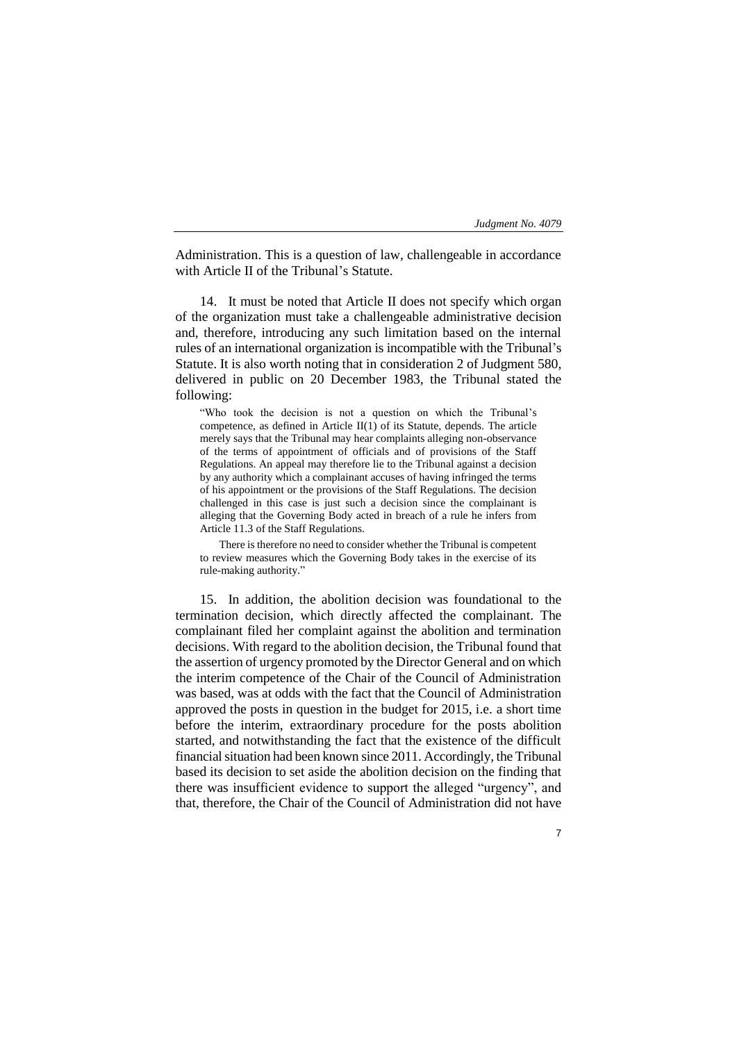Administration. This is a question of law, challengeable in accordance with Article II of the Tribunal's Statute.

14. It must be noted that Article II does not specify which organ of the organization must take a challengeable administrative decision and, therefore, introducing any such limitation based on the internal rules of an international organization is incompatible with the Tribunal's Statute. It is also worth noting that in consideration 2 of Judgment 580, delivered in public on 20 December 1983, the Tribunal stated the following:

"Who took the decision is not a question on which the Tribunal's competence, as defined in Article II(1) of its Statute, depends. The article merely says that the Tribunal may hear complaints alleging non-observance of the terms of appointment of officials and of provisions of the Staff Regulations. An appeal may therefore lie to the Tribunal against a decision by any authority which a complainant accuses of having infringed the terms of his appointment or the provisions of the Staff Regulations. The decision challenged in this case is just such a decision since the complainant is alleging that the Governing Body acted in breach of a rule he infers from Article 11.3 of the Staff Regulations.

There is therefore no need to consider whether the Tribunal is competent to review measures which the Governing Body takes in the exercise of its rule-making authority."

15. In addition, the abolition decision was foundational to the termination decision, which directly affected the complainant. The complainant filed her complaint against the abolition and termination decisions. With regard to the abolition decision, the Tribunal found that the assertion of urgency promoted by the Director General and on which the interim competence of the Chair of the Council of Administration was based, was at odds with the fact that the Council of Administration approved the posts in question in the budget for 2015, i.e. a short time before the interim, extraordinary procedure for the posts abolition started, and notwithstanding the fact that the existence of the difficult financial situation had been known since 2011. Accordingly, the Tribunal based its decision to set aside the abolition decision on the finding that there was insufficient evidence to support the alleged "urgency", and that, therefore, the Chair of the Council of Administration did not have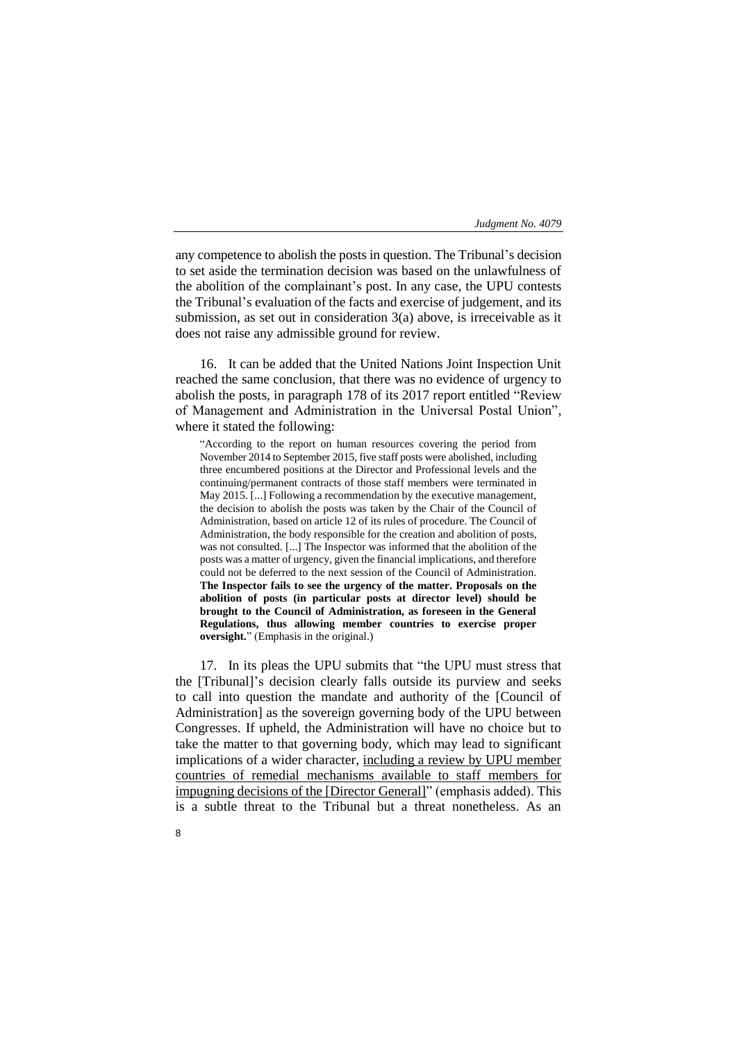any competence to abolish the posts in question. The Tribunal's decision to set aside the termination decision was based on the unlawfulness of the abolition of the complainant's post. In any case, the UPU contests the Tribunal's evaluation of the facts and exercise of judgement, and its submission, as set out in consideration 3(a) above, is irreceivable as it does not raise any admissible ground for review.

16. It can be added that the United Nations Joint Inspection Unit reached the same conclusion, that there was no evidence of urgency to abolish the posts, in paragraph 178 of its 2017 report entitled "Review of Management and Administration in the Universal Postal Union", where it stated the following:

"According to the report on human resources covering the period from November 2014 to September 2015, five staff posts were abolished, including three encumbered positions at the Director and Professional levels and the continuing/permanent contracts of those staff members were terminated in May 2015. [...] Following a recommendation by the executive management, the decision to abolish the posts was taken by the Chair of the Council of Administration, based on article 12 of its rules of procedure. The Council of Administration, the body responsible for the creation and abolition of posts, was not consulted. [...] The Inspector was informed that the abolition of the posts was a matter of urgency, given the financial implications, and therefore could not be deferred to the next session of the Council of Administration. **The Inspector fails to see the urgency of the matter. Proposals on the abolition of posts (in particular posts at director level) should be brought to the Council of Administration, as foreseen in the General Regulations, thus allowing member countries to exercise proper oversight.**" (Emphasis in the original.)

17. In its pleas the UPU submits that "the UPU must stress that the [Tribunal]'s decision clearly falls outside its purview and seeks to call into question the mandate and authority of the [Council of Administration] as the sovereign governing body of the UPU between Congresses. If upheld, the Administration will have no choice but to take the matter to that governing body, which may lead to significant implications of a wider character, including a review by UPU member countries of remedial mechanisms available to staff members for impugning decisions of the [Director General]" (emphasis added). This is a subtle threat to the Tribunal but a threat nonetheless. As an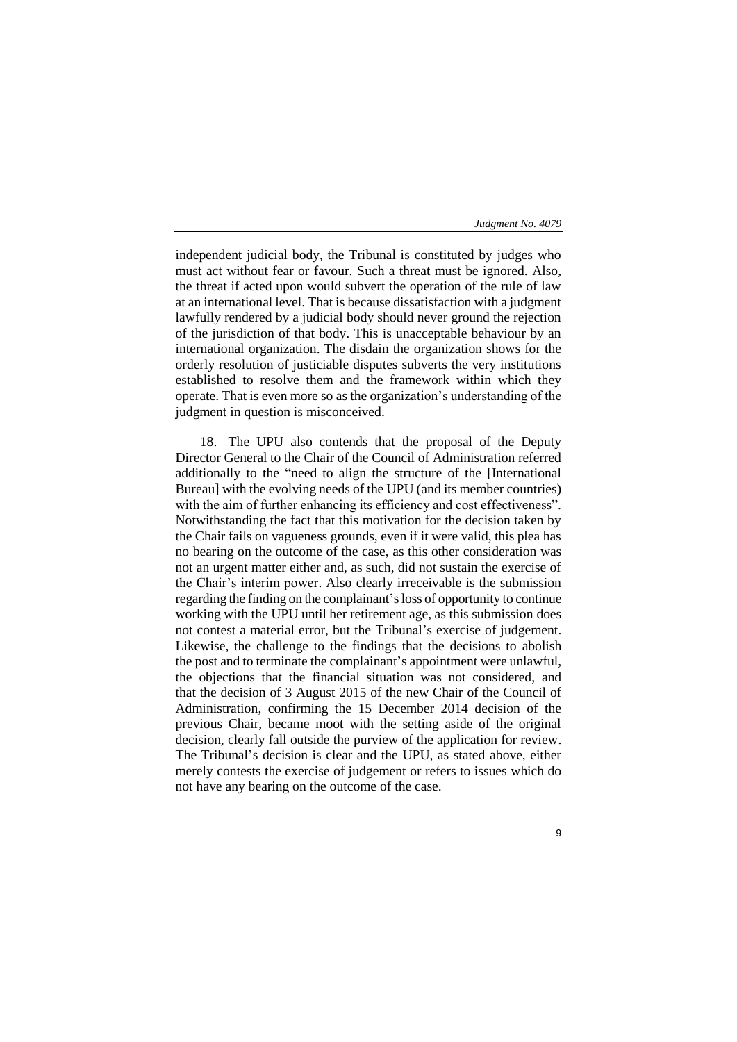independent judicial body, the Tribunal is constituted by judges who must act without fear or favour. Such a threat must be ignored. Also, the threat if acted upon would subvert the operation of the rule of law at an international level. That is because dissatisfaction with a judgment lawfully rendered by a judicial body should never ground the rejection of the jurisdiction of that body. This is unacceptable behaviour by an international organization. The disdain the organization shows for the orderly resolution of justiciable disputes subverts the very institutions established to resolve them and the framework within which they operate. That is even more so as the organization's understanding of the judgment in question is misconceived.

18. The UPU also contends that the proposal of the Deputy Director General to the Chair of the Council of Administration referred additionally to the "need to align the structure of the [International Bureau] with the evolving needs of the UPU (and its member countries) with the aim of further enhancing its efficiency and cost effectiveness". Notwithstanding the fact that this motivation for the decision taken by the Chair fails on vagueness grounds, even if it were valid, this plea has no bearing on the outcome of the case, as this other consideration was not an urgent matter either and, as such, did not sustain the exercise of the Chair's interim power. Also clearly irreceivable is the submission regarding the finding on the complainant's loss of opportunity to continue working with the UPU until her retirement age, as this submission does not contest a material error, but the Tribunal's exercise of judgement. Likewise, the challenge to the findings that the decisions to abolish the post and to terminate the complainant's appointment were unlawful, the objections that the financial situation was not considered, and that the decision of 3 August 2015 of the new Chair of the Council of Administration, confirming the 15 December 2014 decision of the previous Chair, became moot with the setting aside of the original decision, clearly fall outside the purview of the application for review. The Tribunal's decision is clear and the UPU, as stated above, either merely contests the exercise of judgement or refers to issues which do not have any bearing on the outcome of the case.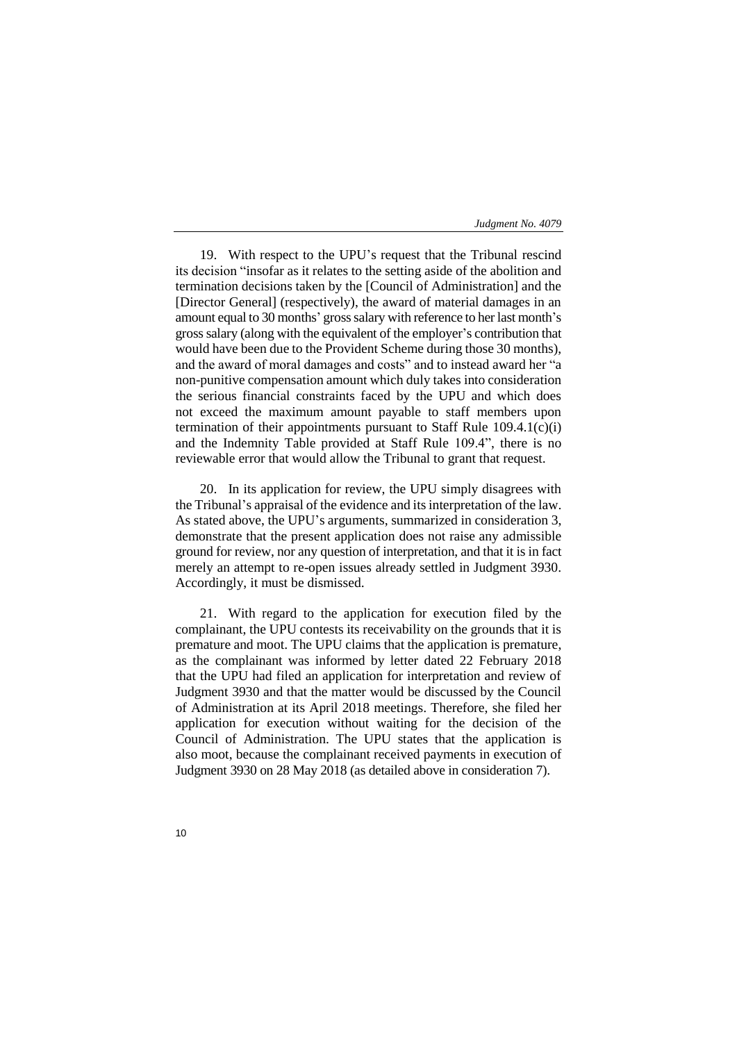19. With respect to the UPU's request that the Tribunal rescind its decision "insofar as it relates to the setting aside of the abolition and termination decisions taken by the [Council of Administration] and the [Director General] (respectively), the award of material damages in an amount equal to 30 months' gross salary with reference to her last month's gross salary (along with the equivalent of the employer's contribution that would have been due to the Provident Scheme during those 30 months), and the award of moral damages and costs" and to instead award her "a non-punitive compensation amount which duly takes into consideration the serious financial constraints faced by the UPU and which does not exceed the maximum amount payable to staff members upon termination of their appointments pursuant to Staff Rule 109.4.1(c)(i) and the Indemnity Table provided at Staff Rule 109.4", there is no reviewable error that would allow the Tribunal to grant that request.

20. In its application for review, the UPU simply disagrees with the Tribunal's appraisal of the evidence and its interpretation of the law. As stated above, the UPU's arguments, summarized in consideration 3, demonstrate that the present application does not raise any admissible ground for review, nor any question of interpretation, and that it is in fact merely an attempt to re-open issues already settled in Judgment 3930. Accordingly, it must be dismissed.

21. With regard to the application for execution filed by the complainant, the UPU contests its receivability on the grounds that it is premature and moot. The UPU claims that the application is premature, as the complainant was informed by letter dated 22 February 2018 that the UPU had filed an application for interpretation and review of Judgment 3930 and that the matter would be discussed by the Council of Administration at its April 2018 meetings. Therefore, she filed her application for execution without waiting for the decision of the Council of Administration. The UPU states that the application is also moot, because the complainant received payments in execution of Judgment 3930 on 28 May 2018 (as detailed above in consideration 7).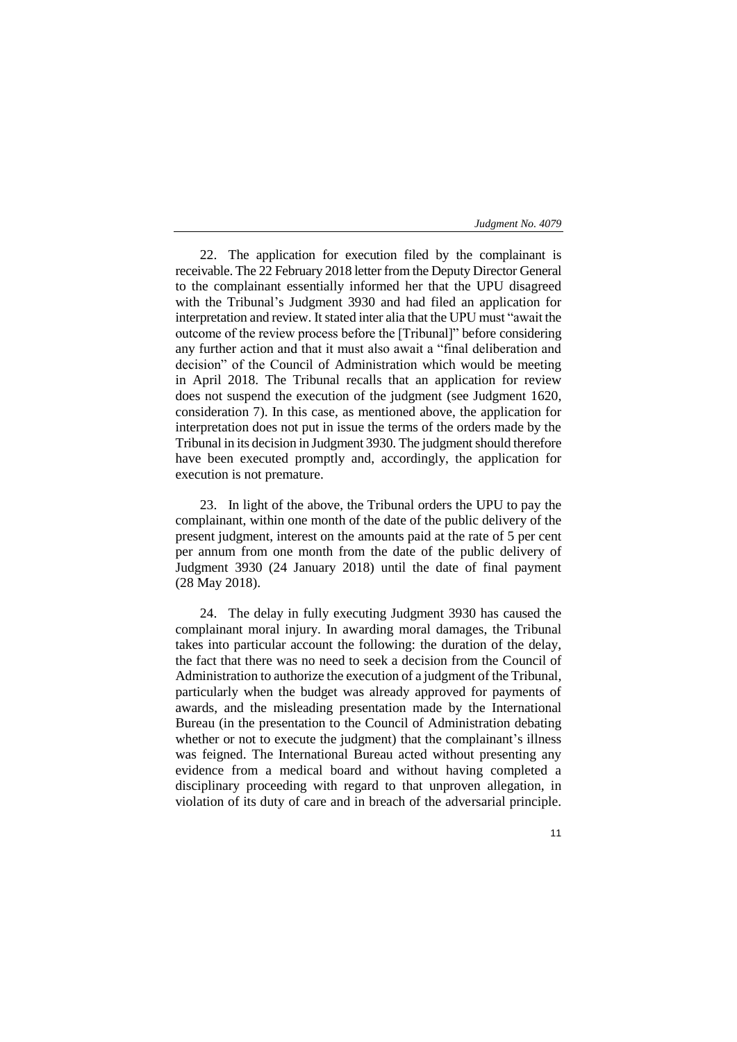22. The application for execution filed by the complainant is receivable. The 22 February 2018 letter from the Deputy Director General to the complainant essentially informed her that the UPU disagreed with the Tribunal's Judgment 3930 and had filed an application for interpretation and review. It stated inter alia that the UPU must "await the outcome of the review process before the [Tribunal]" before considering any further action and that it must also await a "final deliberation and decision" of the Council of Administration which would be meeting in April 2018. The Tribunal recalls that an application for review does not suspend the execution of the judgment (see Judgment 1620, consideration 7). In this case, as mentioned above, the application for interpretation does not put in issue the terms of the orders made by the Tribunal in its decision in Judgment 3930. The judgment should therefore have been executed promptly and, accordingly, the application for execution is not premature.

23. In light of the above, the Tribunal orders the UPU to pay the complainant, within one month of the date of the public delivery of the present judgment, interest on the amounts paid at the rate of 5 per cent per annum from one month from the date of the public delivery of Judgment 3930 (24 January 2018) until the date of final payment (28 May 2018).

24. The delay in fully executing Judgment 3930 has caused the complainant moral injury. In awarding moral damages, the Tribunal takes into particular account the following: the duration of the delay, the fact that there was no need to seek a decision from the Council of Administration to authorize the execution of a judgment of the Tribunal, particularly when the budget was already approved for payments of awards, and the misleading presentation made by the International Bureau (in the presentation to the Council of Administration debating whether or not to execute the judgment) that the complainant's illness was feigned. The International Bureau acted without presenting any evidence from a medical board and without having completed a disciplinary proceeding with regard to that unproven allegation, in violation of its duty of care and in breach of the adversarial principle.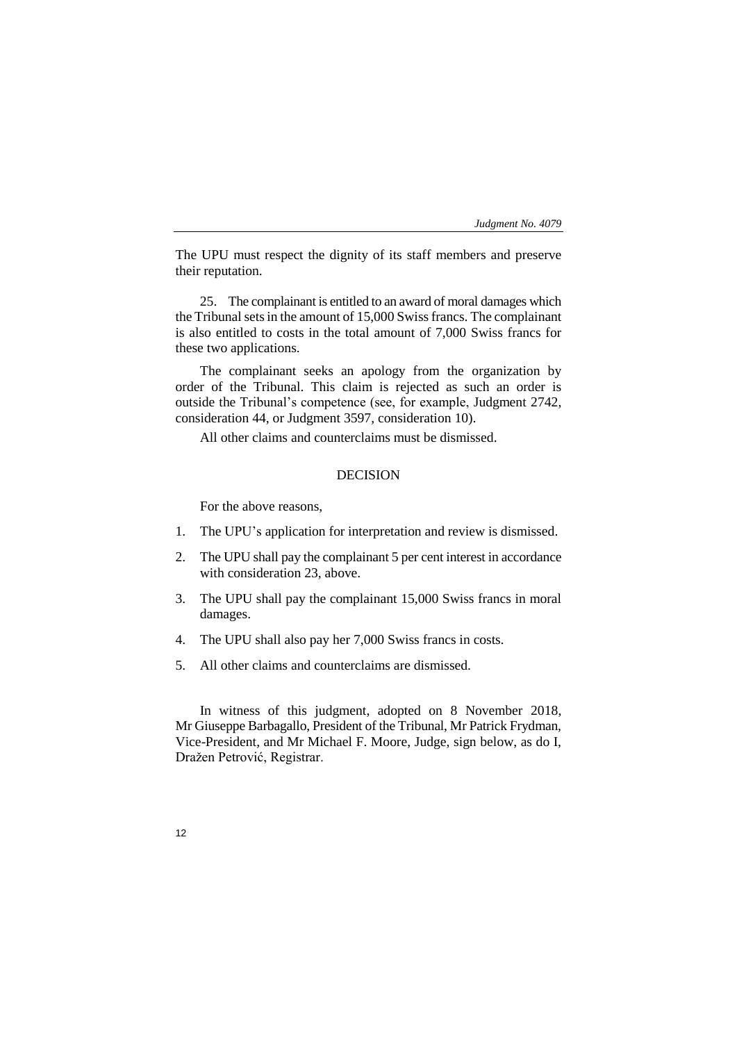The UPU must respect the dignity of its staff members and preserve their reputation.

25. The complainant is entitled to an award of moral damages which the Tribunal sets in the amount of 15,000 Swiss francs. The complainant is also entitled to costs in the total amount of 7,000 Swiss francs for these two applications.

The complainant seeks an apology from the organization by order of the Tribunal. This claim is rejected as such an order is outside the Tribunal's competence (see, for example, Judgment 2742, consideration 44, or Judgment 3597, consideration 10).

All other claims and counterclaims must be dismissed.

## DECISION

For the above reasons,

- 1. The UPU's application for interpretation and review is dismissed.
- 2. The UPU shall pay the complainant 5 per cent interest in accordance with consideration 23, above.
- 3. The UPU shall pay the complainant 15,000 Swiss francs in moral damages.
- 4. The UPU shall also pay her 7,000 Swiss francs in costs.
- 5. All other claims and counterclaims are dismissed.

In witness of this judgment, adopted on 8 November 2018, Mr Giuseppe Barbagallo, President of the Tribunal, Mr Patrick Frydman, Vice-President, and Mr Michael F. Moore, Judge, sign below, as do I, Dražen Petrović, Registrar.